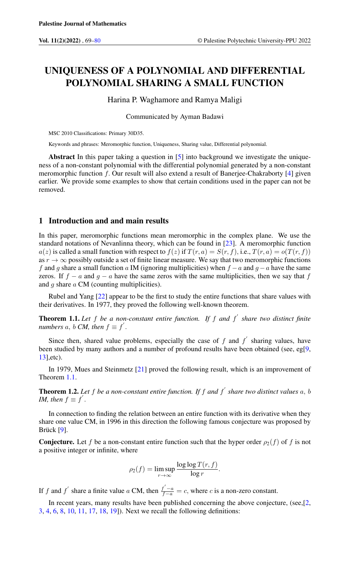# UNIQUENESS OF A POLYNOMIAL AND DIFFERENTIAL POLYNOMIAL SHARING A SMALL FUNCTION

Harina P. Waghamore and Ramya Maligi

Communicated by Ayman Badawi

MSC 2010 Classifications: Primary 30D35.

Keywords and phrases: Meromorphic function, Uniqueness, Sharing value, Differential polynomial.

Abstract In this paper taking a question in [\[5\]](#page-10-1) into background we investigate the uniqueness of a non-constant polynomial with the differential polynomial generated by a non-constant meromorphic function  $f$ . Our result will also extend a result of Banerjee-Chakraborty  $[4]$  given earlier. We provide some examples to show that certain conditions used in the paper can not be removed.

## 1 Introduction and and main results

In this paper, meromorphic functions mean meromorphic in the complex plane. We use the standard notations of Nevanlinna theory, which can be found in [\[23\]](#page-11-0). A meromorphic function  $a(z)$  is called a small function with respect to  $f(z)$  if  $T(r, a) = S(r, f)$ , i.e.,  $T(r, a) = o(T(r, f))$ as  $r \to \infty$  possibly outside a set of finite linear measure. We say that two meromorphic functions f and g share a small function a IM (ignoring multiplicities) when  $f - a$  and  $g - a$  have the same zeros. If  $f - a$  and  $g - a$  have the same zeros with the same multiplicities, then we say that f and  $g$  share  $a$  CM (counting multiplicities).

Rubel and Yang [\[22\]](#page-11-1) appear to be the first to study the entire functions that share values with their derivatives. In 1977, they proved the following well-known theorem.

<span id="page-0-0"></span>Theorem 1.1. *Let* f *be a non-constant entire function. If* f *and* f 0 *share two distinct finite numbers*  $a, b$  *CM, then*  $f \equiv f'$ .

Since then, shared value problems, especially the case of  $f$  and  $f'$  sharing values, have been studied by many authors and a number of profound results have been obtained (see, eg[\[9,](#page-11-2) [13\]](#page-11-3),etc).

In 1979, Mues and Steinmetz [\[21\]](#page-11-4) proved the following result, which is an improvement of Theorem [1.1.](#page-0-0)

**Theorem 1.2.** Let f be a non-constant entire function. If f and f' share two distinct values  $a, b$ *IM, then*  $f \equiv f'$ .

In connection to finding the relation between an entire function with its derivative when they share one value CM, in 1996 in this direction the following famous conjecture was proposed by Brück [\[9\]](#page-11-2).

**Conjecture.** Let f be a non-constant entire function such that the hyper order  $\rho_2(f)$  of f is not a positive integer or infinite, where

$$
\rho_2(f) = \limsup_{r \to \infty} \frac{\log \log T(r, f)}{\log r}.
$$

If f and f' share a finite value a CM, then  $\frac{f'-a}{f-a} = c$ , where c is a non-zero constant.

In recent years, many results have been published concerning the above conjecture, (see,[\[2,](#page-10-3) [3,](#page-10-4) [4,](#page-10-2) [6,](#page-10-5) [8,](#page-11-5) [10,](#page-11-6) [11,](#page-11-7) [17,](#page-11-8) [18,](#page-11-9) [19\]](#page-11-10)). Next we recall the following definitions: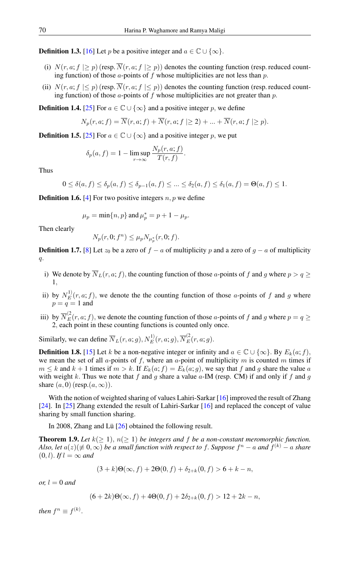**Definition 1.3.** [\[16\]](#page-11-11) Let p be a positive integer and  $a \in \mathbb{C} \cup \{\infty\}.$ 

- (i)  $N(r, a; f | \geq p)$  (resp.  $\overline{N}(r, a; f | \geq p)$ ) denotes the counting function (resp. reduced counting function) of those  $a$ -points of  $f$  whose multiplicities are not less than  $p$ .
- (ii)  $N(r, a; f \leq p)$  (resp.  $\overline{N}(r, a; f \leq p)$ ) denotes the counting function (resp. reduced counting function) of those a-points of f whose multiplicities are not greater than p.

**Definition 1.4.** [\[25\]](#page-11-12) For  $a \in \mathbb{C} \cup \{\infty\}$  and a positive integer p, we define

$$
N_p(r, a; f) = \overline{N}(r, a; f) + \overline{N}(r, a; f \ge 2) + \dots + \overline{N}(r, a; f \ge p).
$$

**Definition 1.5.** [\[25\]](#page-11-12) For  $a \in \mathbb{C} \cup \{\infty\}$  and a positive integer p, we put

$$
\delta_p(a, f) = 1 - \limsup_{r \to \infty} \frac{N_p(r, a; f)}{T(r, f)}.
$$

Thus

$$
0 \le \delta(a, f) \le \delta_p(a, f) \le \delta_{p-1}(a, f) \le \dots \le \delta_2(a, f) \le \delta_1(a, f) = \Theta(a, f) \le 1.
$$

**Definition 1.6.** [\[4\]](#page-10-2) For two positive integers  $n, p$  we define

$$
\mu_p = \min\{n, p\}
$$
 and  $\mu_p^* = p + 1 - \mu_p$ .

Then clearly

$$
N_p(r, 0; f^n) \le \mu_p N_{\mu_p^*}(r, 0; f).
$$

**Definition 1.7.** [\[8\]](#page-11-5) Let  $z_0$  be a zero of  $f - a$  of multiplicity p and a zero of  $g - a$  of multiplicity q.

- i) We denote by  $\overline{N}_L(r, a; f)$ , the counting function of those a-points of f and g where  $p > q \ge$ 1,
- ii) by  $N_E^{(1)}(r, a; f)$ , we denote the the counting function of those a-points of f and g where  $p = q = 1$  and
- iii) by  $\overline{N}_{E}^{(2)}(r, a; f)$ , we denote the counting function of those a-points of f and g where  $p = q \ge$ 2, each point in these counting functions is counted only once.

Similarly, we can define  $\overline{N}_L(r, a; g), N_E^{1)}(r, a; g), \overline{N}_E^{(2)}(r, a; g)$ .

**Definition 1.8.** [\[15\]](#page-11-13) Let k be a non-negative integer or infinity and  $a \in \mathbb{C} \cup \{\infty\}$ . By  $E_k(a; f)$ , we mean the set of all a-points of f, where an a-point of multiplicity m is counted m times if  $m \leq k$  and  $k + 1$  times if  $m > k$ . If  $E_k(a; f) = E_k(a; g)$ , we say that f and g share the value a with weight k. Thus we note that f and g share a value  $a$ -IM (resp. CM) if and only if f and g share  $(a, 0)$  (resp. $(a, \infty)$ ).

With the notion of weighted sharing of values Lahiri-Sarkar [\[16\]](#page-11-11) improved the result of Zhang [\[24\]](#page-11-14). In [\[25\]](#page-11-12) Zhang extended the result of Lahiri-Sarkar [\[16\]](#page-11-11) and replaced the concept of value sharing by small function sharing.

In 2008, Zhang and Lü [\[26\]](#page-11-15) obtained the following result.

**Theorem 1.9.** Let  $k(\geq 1)$ ,  $n(\geq 1)$  be integers and f be a non-constant meromorphic function. *Also, let*  $a(z)(\not\equiv 0,\infty)$  *be a small function with respect to f. Suppose*  $f^n - a$  *and*  $f^{(k)} - a$  *share*  $(0, l)$ . *If*  $l = \infty$  *and* 

$$
(3+k)\Theta(\infty, f) + 2\Theta(0, f) + \delta_{2+k}(0, f) > 6 + k - n,
$$

*or,*  $l = 0$  *and* 

$$
(6+2k)\Theta(\infty, f) + 4\Theta(0, f) + 2\delta_{2+k}(0, f) > 12 + 2k - n,
$$

*then*  $f^n \equiv f^{(k)}$ .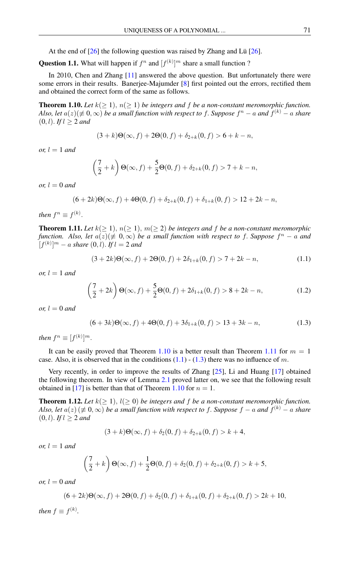At the end of  $[26]$  the following question was raised by Zhang and Lü  $[26]$ .

**Question 1.1.** What will happen if  $f^n$  and  $[f^{(k)}]^m$  share a small function ?

In 2010, Chen and Zhang [\[11\]](#page-11-7) answered the above question. But unfortunately there were some errors in their results. Banerjee-Majumder [\[8\]](#page-11-5) first pointed out the errors, rectified them and obtained the correct form of the same as follows.

<span id="page-2-0"></span>**Theorem 1.10.** Let  $k(\geq 1)$ ,  $n(\geq 1)$  be integers and f be a non-constant meromorphic function. Also, let  $a(z)(\not\equiv 0,\infty)$  be a small function with respect to  $f.$  Suppose  $f^n-a$  and  $f^{(k)}-a$  share  $(0, l)$ . *If*  $l \geq 2$  *and* 

$$
(3+k)\Theta(\infty, f) + 2\Theta(0, f) + \delta_{2+k}(0, f) > 6 + k - n,
$$

*or,*  $l = 1$  *and* 

$$
\left(\frac{7}{2} + k\right)\Theta(\infty, f) + \frac{5}{2}\Theta(0, f) + \delta_{2+k}(0, f) > 7 + k - n,
$$

*or,*  $l = 0$  *and* 

$$
(6+2k)\Theta(\infty, f) + 4\Theta(0, f) + \delta_{2+k}(0, f) + \delta_{1+k}(0, f) > 12 + 2k - n,
$$

*then*  $f^n \equiv f^{(k)}$ .

<span id="page-2-1"></span>**Theorem 1.11.** Let  $k(\geq 1)$ ,  $n(\geq 1)$ ,  $m(\geq 2)$  be integers and f be a non-constant meromorphic *function.* Also, let  $a(z) (\neq 0, \infty)$  be a small function with respect to f. Suppose  $f^n - a$  and  $[f^{(k)}]^{m} - a$  *share*  $(0, l)$ *. If*  $l = 2$  *and* 

<span id="page-2-2"></span>
$$
(3+2k)\Theta(\infty, f) + 2\Theta(0, f) + 2\delta_{1+k}(0, f) > 7 + 2k - n,\tag{1.1}
$$

*or,*  $l = 1$  *and* 

$$
\left(\frac{7}{2} + 2k\right)\Theta(\infty, f) + \frac{5}{2}\Theta(0, f) + 2\delta_{1+k}(0, f) > 8 + 2k - n,\tag{1.2}
$$

*or,*  $l = 0$  *and* 

<span id="page-2-3"></span>
$$
(6+3k)\Theta(\infty, f) + 4\Theta(0, f) + 3\delta_{1+k}(0, f) > 13 + 3k - n,\tag{1.3}
$$

*then*  $f^n \equiv [f^{(k)}]^m$ .

It can be easily proved that Theorem [1.10](#page-2-0) is a better result than Theorem [1.11](#page-2-1) for  $m = 1$ case. Also, it is observed that in the conditions  $(1.1)$  -  $(1.3)$  there was no influence of m.

Very recently, in order to improve the results of Zhang [\[25\]](#page-11-12), Li and Huang [\[17\]](#page-11-8) obtained the following theorem. In view of Lemma [2.1](#page-6-0) proved latter on, we see that the following result obtained in [\[17\]](#page-11-8) is better than that of Theorem [1.10](#page-2-0) for  $n = 1$ .

**Theorem 1.12.** Let  $k(\geq 1)$ ,  $l(\geq 0)$  be integers and f be a non-constant meromorphic function. *Also, let*  $a(z)$   $(\not\equiv 0,\infty)$  *be a small function with respect to f. Suppose*  $f - a$  *and*  $f^{(k)} - a$  *share*  $(0, l)$ . *If*  $l \geq 2$  *and* 

$$
(3+k)\Theta(\infty, f) + \delta_2(0, f) + \delta_{2+k}(0, f) > k+4,
$$

*or,*  $l = 1$  *and* 

$$
\left(\frac{7}{2}+k\right)\Theta(\infty,f) + \frac{1}{2}\Theta(0,f) + \delta_2(0,f) + \delta_{2+k}(0,f) > k+5,
$$

*or,*  $l = 0$  *and* 

$$
(6+2k)\Theta(\infty, f) + 2\Theta(0, f) + \delta_2(0, f) + \delta_{1+k}(0, f) + \delta_{2+k}(0, f) > 2k + 10,
$$

*then*  $f \equiv f^{(k)}$ *.*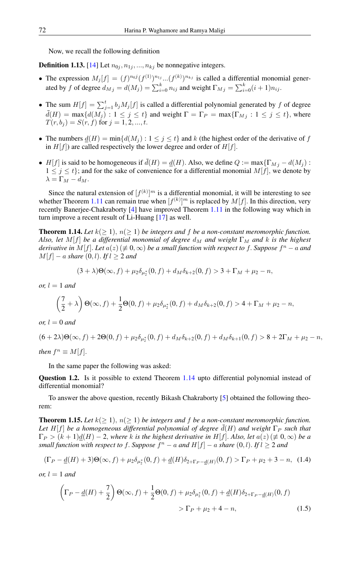Now, we recall the following definition

**Definition 1.13.** [\[14\]](#page-11-16) Let  $n_{0i}, n_{1i}, ..., n_{ki}$  be nonnegative integers.

- The expression  $M_j[f] = (f)^{n_0 j} (f^{(1)})^{n_1 j} \dots (f^{(k)})^{n_{kj}}$  is called a differential monomial generated by f of degree  $d_{M_j} = d(M_j) = \sum_{i=0}^{k} n_{ij}$  and weight  $\Gamma_{M_j} = \sum_{i=0}^{k} (i+1) n_{ij}$ .
- The sum  $H[f] = \sum_{j=1}^{t} b_j M_j[f]$  is called a differential polynomial generated by f of degree  $d(H) = \max\{d(M_j) : 1 \le j \le t\}$  and weight  $\Gamma = \Gamma_P = \max\{\Gamma_{M_j} : 1 \le j \le t\}$ , where  $T(r, b<sub>j</sub>) = S(r, f)$  for  $j = 1, 2, ..., t$ .
- The numbers  $d(H) = \min\{d(M_i) : 1 \leq j \leq t\}$  and k (the highest order of the derivative of f in  $H[f]$ ) are called respectively the lower degree and order of  $H[f]$ .
- H[f] is said to be homogeneous if  $\bar{d}(H) = \underline{d}(H)$ . Also, we define  $Q := \max\{\Gamma_{Mj} d(M_j)$ :  $1 \leq j \leq t$ ; and for the sake of convenience for a differential monomial  $M[f]$ , we denote by  $\lambda = \Gamma_M - d_M.$

Since the natural extension of  $[f^{(k)}]^{m}$  is a differential monomial, it will be interesting to see whether Theorem [1.11](#page-2-1) can remain true when  $[f^{(k)}]^m$  is replaced by  $M[f]$ . In this direction, very recently Banerjee-Chakraborty [\[4\]](#page-10-2) have improved Theorem [1.11](#page-2-1) in the following way which in turn improve a recent result of Li-Huang [\[17\]](#page-11-8) as well.

<span id="page-3-0"></span>**Theorem 1.14.** Let  $k(>1)$ ,  $n(>1)$  be integers and f be a non-constant meromorphic function. *Also, let*  $M[f]$  *be a differential monomial of degree*  $d_M$  *and weight*  $\Gamma_M$  *and* k *is the highest derivative in M*[f]. Let  $a(z)$  ( $\neq 0,\infty$ ) be a small function with respect to f. Suppose  $f^n - a$  and  $M[f] - a$  *share*  $(0, l)$ *. If*  $l \ge 2$  *and* 

$$
(3+\lambda)\Theta(\infty, f) + \mu_2 \delta_{\mu_2^*}(0, f) + d_M \delta_{k+2}(0, f) > 3 + \Gamma_M + \mu_2 - n,
$$

*or,*  $l = 1$  *and* 

$$
\left(\frac{7}{2}+\lambda\right)\Theta(\infty,f)+\frac{1}{2}\Theta(0,f)+\mu_2\delta_{\mu_2^*}(0,f)+d_M\delta_{k+2}(0,f)>4+\Gamma_M+\mu_2-n,
$$

*or,*  $l = 0$  *and* 

 $(6+2\lambda)\Theta(\infty, f) + 2\Theta(0, f) + \mu_2 \delta_{\mu_2^*}(0, f) + d_M \delta_{k+2}(0, f) + d_M \delta_{k+1}(0, f) > 8 + 2\Gamma_M + \mu_2 - n,$ *then*  $f^n \equiv M[f]$ .

In the same paper the following was asked:

**Question 1.2.** Is it possible to extend Theorem [1.14](#page-3-0) upto differential polynomial instead of differential monomial?

To answer the above question, recently Bikash Chakraborty [\[5\]](#page-10-1) obtained the following theorem:

<span id="page-3-1"></span>**Theorem 1.15.** Let  $k(\geq 1)$ ,  $n(\geq 1)$  be integers and f be a non-constant meromorphic function. Let  $H[f]$  be a homogeneous differential polynomial of degree  $\bar{d}(H)$  and weight  $\Gamma_P$  *such that*  $\Gamma_P > (k+1)\underline{d}(H) - 2$ , *where* k is the highest derivative in H[f]. Also, let  $a(z) \neq 0, \infty$  be a *small function with respect to f. Suppose*  $f<sup>n</sup> - a$  *and*  $H[f] - a$  *share*  $(0, l)$ *. If*  $l \ge 2$  *and* 

$$
(\Gamma_P - \underline{d}(H) + 3)\Theta(\infty, f) + \mu_2 \delta_{\mu_2^*}(0, f) + \underline{d}(H)\delta_{2+\Gamma_P - \underline{d}(H)}(0, f) > \Gamma_P + \mu_2 + 3 - n,\tag{1.4}
$$

*or,*  $l = 1$  *and* 

$$
\left(\Gamma_P - \underline{d}(H) + \frac{7}{2}\right)\Theta(\infty, f) + \frac{1}{2}\Theta(0, f) + \mu_2 \delta_{\mu_2^*}(0, f) + \underline{d}(H)\delta_{2+\Gamma_P - \underline{d}(H)}(0, f) > \Gamma_P + \mu_2 + 4 - n,
$$
\n(1.5)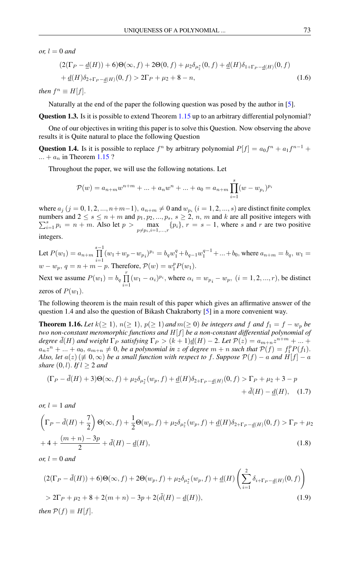*or,*  $l = 0$  *and* 

$$
(2(\Gamma_P - \underline{d}(H)) + 6)\Theta(\infty, f) + 2\Theta(0, f) + \mu_2 \delta_{\mu_2^*}(0, f) + \underline{d}(H)\delta_{1+\Gamma_P - \underline{d}(H)}(0, f) + \underline{d}(H)\delta_{2+\Gamma_P - \underline{d}(H)}(0, f) > 2\Gamma_P + \mu_2 + 8 - n,
$$
\n(1.6)

*then*  $f^n \equiv H[f]$ .

Naturally at the end of the paper the following question was posed by the author in [\[5\]](#page-10-1).

Question 1.3. Is it is possible to extend Theorem [1.15](#page-3-1) up to an arbitrary differential polynomial?

One of our objectives in writing this paper is to solve this Question. Now observing the above results it is Quite natural to place the following Question

**Question 1.4.** Is it is possible to replace  $f^n$  by arbitrary polynomial  $P[f] = a_0 f^n + a_1 f^{n-1} +$  $... + a_n$  in Theorem [1.15](#page-3-1) ?

Throughout the paper, we will use the following notations. Let

$$
\mathcal{P}(w) = a_{n+m}w^{n+m} + \dots + a_nw^n + \dots + a_0 = a_{n+m}\prod_{i=1}^s (w - w_{p_i})^{p_i}
$$

where  $a_j$   $(j = 0, 1, 2, ..., n+m-1)$ ,  $a_{n+m} \neq 0$  and  $w_{p_i}$   $(i = 1, 2, ..., s)$  are distinct finite complex numbers and  $2 \le s \le n+m$  and  $p_1, p_2, ..., p_s$ ,  $s \ge 2, n, m$  and k are all positive integers with  $\sum_{i=1}^s p_i = n + m$ . Also let  $p > \max_{p \neq p_i, i=1,\dots,r} \{p_i\}$ ,  $r = s - 1$ , where s and r are two positive integers.

Let 
$$
P(w_1) = a_{n+m} \prod_{i=1}^{s-1} (w_1 + w_p - w_{p_i})^{p_i} = b_q w_1^q + b_{q-1} w_1^{q-1} + ... + b_0
$$
, where  $a_{n+m} = b_q$ ,  $w_1 = w - w_p$ ,  $q = n + m - p$ . Therefore,  $\mathcal{P}(w) = w_1^p P(w_1)$ .

Next we assume  $P(w_1) = b_q \prod_{r=1}^{r}$  $\prod_{i=1} (w_1 - \alpha_i)^{p_i}$ , where  $\alpha_i = w_{p_i} - w_p$ ,  $(i = 1, 2, ..., r)$ , be distinct zeros of  $P(w_1)$ .

The following theorem is the main result of this paper which gives an affirmative answer of the question 1.4 and also the question of Bikash Chakraborty [\[5\]](#page-10-1) in a more convenient way.

<span id="page-4-2"></span>**Theorem 1.16.** Let  $k(\geq 1)$ ,  $n(\geq 1)$ ,  $p(\geq 1)$  and  $m(\geq 0)$  be integers and f and  $f_1 = f - w_p$  be *two non-constant meromorphic functions and* H[f] *be a non-constant differential polynomial of degree*  $\bar{d}(H)$  *and weight*  $\Gamma_P$  *satisfying*  $\Gamma_P > (k+1)\underline{d}(H) - 2$ . Let  $\mathcal{P}(z) = a_{m+n}z^{n+m} + ...$  $a_n z^n + ... + a_0$ ,  $a_{m+n} \neq 0$ , *be a polynomial in z of degree*  $m + n$  *such that*  $P(f) = f_1^p P(f_1)$ . *Also, let*  $a(z) \neq 0, \infty$ *) be a small function with respect to f. Suppose*  $P(f) - a$  *and*  $H[f] - a$ *share*  $(0, l)$ *. If*  $l \geq 2$  *and* 

<span id="page-4-3"></span><span id="page-4-0"></span>
$$
(\Gamma_P - \bar{d}(H) + 3)\Theta(\infty, f) + \mu_2 \delta_{\mu_2^*}(w_P, f) + \underline{d}(H)\delta_{2+\Gamma_P - \underline{d}(H)}(0, f) > \Gamma_P + \mu_2 + 3 - p
$$
\n
$$
+ \bar{d}(H) - \underline{d}(H), \quad (1.7)
$$

*or,*  $l = 1$  *and* 

$$
\left(\Gamma_P - \bar{d}(H) + \frac{7}{2}\right)\Theta(\infty, f) + \frac{1}{2}\Theta(w_p, f) + \mu_2 \delta_{\mu_2^*}(w_p, f) + \underline{d}(H)\delta_{2+\Gamma_P - \underline{d}(H)}(0, f) > \Gamma_P + \mu_2
$$
\n
$$
+ 4 + \frac{(m+n) - 3p}{2} + \bar{d}(H) - \underline{d}(H),\tag{1.8}
$$

*or,*  $l = 0$  *and* 

<span id="page-4-1"></span>
$$
(2(\Gamma_P - \bar{d}(H)) + 6)\Theta(\infty, f) + 2\Theta(w_P, f) + \mu_2 \delta_{\mu_2^*}(w_P, f) + \underline{d}(H) \left(\sum_{i=1}^2 \delta_{i+\Gamma_P - \underline{d}(H)}(0, f)\right)
$$
  
> 2\Gamma\_P + \mu\_2 + 8 + 2(m+n) - 3p + 2(\bar{d}(H) - \underline{d}(H)), (1.9)  
then  $\mathcal{P}(f) \equiv H[f].$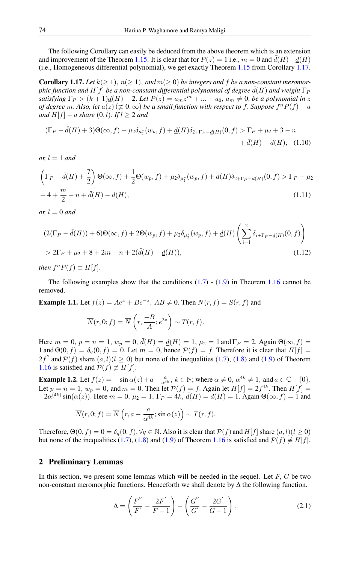The following Corollary can easily be deduced from the above theorem which is an extension and improvement of the Theorem [1.15.](#page-3-1) It is clear that for  $P(z) = 1$  i.e.,  $m = 0$  and  $\bar{d}(H) - d(H)$ (i.e., Homogeneous differential polynomial), we get exactly Theorem [1.15](#page-3-1) from Corollary [1.17.](#page-5-0)

<span id="page-5-0"></span>**Corollary 1.17.** Let  $k(>1)$ ,  $n(>1)$ , and  $m(>0)$  be integers and f be a non-constant meromor*phic function and*  $H[f]$  *be a non-constant differential polynomial of degree*  $\bar{d}(H)$  *and weight*  $\Gamma_P$ *satisfying*  $\Gamma_P > (k+1) \underline{d}(H) - 2$ . Let  $P(z) = a_m z^m + ... + a_0$ ,  $a_m \neq 0$ , be a polynomial in z *of degree* m. Also, let  $a(z)$  ( $\neq 0, \infty$ ) *be a small function with respect to f. Suppose*  $f^n P(f) - a$ *and*  $H[f]$  – *a share*  $(0, l)$ *. If*  $l \geq 2$  *and* 

$$
(\Gamma_P - \bar{d}(H) + 3)\Theta(\infty, f) + \mu_2 \delta_{\mu_2^*}(w_P, f) + \underline{d}(H)\delta_{2+\Gamma_P - \underline{d}(H)}(0, f) > \Gamma_P + \mu_2 + 3 - n
$$
\n
$$
+ \bar{d}(H) - \underline{d}(H), \quad (1.10)
$$

*or,*  $l = 1$  *and* 

$$
\left(\Gamma_P - \bar{d}(H) + \frac{7}{2}\right)\Theta(\infty, f) + \frac{1}{2}\Theta(w_P, f) + \mu_2 \delta_{\mu_2^*}(w_P, f) + \underline{d}(H)\delta_{2+\Gamma_P - \underline{d}(H)}(0, f) > \Gamma_P + \mu_2 + 4 + \frac{m}{2} - n + \bar{d}(H) - \underline{d}(H),\tag{1.11}
$$

*or,*  $l = 0$  *and* 

$$
(2(\Gamma_P - \bar{d}(H)) + 6)\Theta(\infty, f) + 2\Theta(w_p, f) + \mu_2 \delta_{\mu_2^*}(w_p, f) + \underline{d}(H) \left(\sum_{i=1}^2 \delta_{i+\Gamma_P - \underline{d}(H)}(0, f)\right)
$$
  
> 2\Gamma\_P + \mu\_2 + 8 + 2m - n + 2(\bar{d}(H) - \underline{d}(H)), (1.12)

*then*  $f^n P(f) \equiv H[f]$ .

The following examples show that the conditions  $(1.7)$  -  $(1.9)$  in Theorem [1.16](#page-4-2) cannot be removed.

**Example 1.1.** Let  $f(z) = Ae^z + Be^{-z}$ ,  $AB \neq 0$ . Then  $\overline{N}(r, f) = S(r, f)$  and

$$
\overline{N}(r,0; f) = \overline{N}\left(r, \frac{-B}{A}; e^{2z}\right) \sim T(r, f).
$$

Here  $m = 0$ ,  $p = n = 1$ ,  $w_p = 0$ ,  $\bar{d}(H) = \underline{d}(H) = 1$ ,  $\mu_2 = 1$  and  $\Gamma_P = 2$ . Again  $\Theta(\infty, f) =$ 1 and  $\Theta(0, f) = \delta_q(0, f) = 0$ . Let  $m = 0$ , hence  $\mathcal{P}(f) = f$ . Therefore it is clear that  $H[f] =$ 2f'' and  $\mathcal{P}(f)$  share  $(a, l)$  ( $l \ge 0$ ) but none of the inequalities [\(1.7\)](#page-4-0), [\(1.8\)](#page-4-3) and [\(1.9\)](#page-4-1) of Theorem [1.16](#page-4-2) is satisfied and  $\mathcal{P}(f) \not\equiv H[f]$ .

**Example 1.2.** Let  $f(z) = -\sin \alpha(z) + a - \frac{a}{\alpha^{4k}}$ ,  $k \in \mathbb{N}$ ; where  $\alpha \neq 0$ ,  $\alpha^{4k} \neq 1$ , and  $a \in \mathbb{C} - \{0\}$ . Let  $p = n = 1$ ,  $w_p = 0$ , and  $m = 0$ . Then let  $P(f) = f$ . Again let  $H[f] = 2f^{4k}$ . Then  $H[f] =$  $-2\alpha^{(4k)}\sin(\alpha(z))$ . Here  $m=0$ ,  $\mu_2=1$ ,  $\Gamma_P=4k$ ,  $\bar{d}(H)=\underline{d}(H)=1$ . Again  $\Theta(\infty, f)=1$  and

$$
\overline{N}(r,0;f) = \overline{N}\left(r,a - \frac{a}{\alpha^{4k}}; \sin \alpha(z)\right) \sim T(r,f).
$$

Therefore,  $\Theta(0, f) = 0 = \delta_q(0, f)$ ,  $\forall q \in \mathbb{N}$ . Also it is clear that  $\mathcal{P}(f)$  and  $H[f]$  share  $(a, l) (l \ge 0)$ but none of the inequalities [\(1.7\)](#page-4-0), [\(1.8\)](#page-4-3) and [\(1.9\)](#page-4-1) of Theorem [1.16](#page-4-2) is satisfied and  $\mathcal{P}(f) \neq H[f]$ .

#### 2 Preliminary Lemmas

In this section, we present some lemmas which will be needed in the sequel. Let  $F$ ,  $G$  be two non-constant meromorphic functions. Henceforth we shall denote by  $\Delta$  the following function.

<span id="page-5-1"></span>
$$
\Delta = \left(\frac{F''}{F'} - \frac{2F'}{F-1}\right) - \left(\frac{G''}{G'} - \frac{2G'}{G-1}\right). \tag{2.1}
$$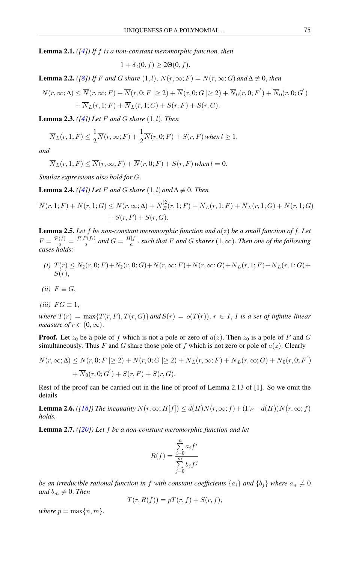<span id="page-6-0"></span>Lemma 2.1. *([\[4\]](#page-10-2)) If* f *is a non-constant meromorphic function, then*

$$
1 + \delta_2(0, f) \ge 2\Theta(0, f).
$$

<span id="page-6-1"></span>**Lemma 2.2.** *([\[8\]](#page-11-5)) If F and G share* (1, *l*),  $\overline{N}(r, \infty; F) = \overline{N}(r, \infty; G)$  *and*  $\Delta \neq 0$ *, then* 

$$
N(r,\infty;\Delta) \leq \overline{N}(r,\infty;F) + \overline{N}(r,0;F \geq 2) + \overline{N}(r,0;G \geq 2) + \overline{N}_0(r,0;F') + \overline{N}_0(r,0;G')+ \overline{N}_L(r,1;F) + \overline{N}_L(r,1;G) + S(r,F) + S(r,G).
$$

<span id="page-6-3"></span>Lemma 2.3. *([\[4\]](#page-10-2)) Let* F *and* G *share* (1, l). *Then*

$$
\overline{N}_L(r,1;F) \leq \frac{1}{2}\overline{N}(r,\infty;F) + \frac{1}{2}\overline{N}(r,0;F) + S(r,F) \text{ when } l \geq 1,
$$

*and*

$$
\overline{N}_L(r, 1; F) \leq \overline{N}(r, \infty; F) + \overline{N}(r, 0; F) + S(r, F) \text{ when } l = 0.
$$

*Similar expressions also hold for* G.

<span id="page-6-2"></span>**Lemma 2.4.** *([\[4\]](#page-10-2)) Let F and G share*  $(1, l)$  *and*  $\Delta \not\equiv 0$ *. Then* 

$$
\overline{N}(r,1;F) + \overline{N}(r,1;G) \leq N(r,\infty;\Delta) + \overline{N}_{E}^{(2)}(r,1;F) + \overline{N}_{L}(r,1;F) + \overline{N}_{L}(r,1;G) + \overline{N}(r,1;G) + S(r,F) + S(r,G).
$$

<span id="page-6-4"></span>**Lemma 2.5.** Let f be non-constant meromorphic function and  $a(z)$  be a small function of f. Let  $F = \frac{\mathcal{P}(f)}{a} = \frac{f_1^p P(f_1)}{a}$  and  $G = \frac{H[f]}{a}$  $\frac{f[f]}{a}$ . *such that* F and G *shares*  $(1, \infty)$ . Then one of the following *cases holds:*

- *(i)*  $T(r) \leq N_2(r, 0; F) + N_2(r, 0; G) + \overline{N}(r, \infty; F) + \overline{N}(r, \infty; G) + \overline{N}_L(r, 1; F) + \overline{N}_L(r, 1; G) +$  $S(r)$ ,
- $(ii)$   $F \equiv G$ ,
- $(iii)$   $FG \equiv 1$ ,

*where*  $T(r) = \max\{T(r, F), T(r, G)\}$  *and*  $S(r) = o(T(r))$ ,  $r \in I$ , *I is a set of infinite linear measure of*  $r \in (0, \infty)$ .

**Proof.** Let  $z_0$  be a pole of f which is not a pole or zero of  $a(z)$ . Then  $z_0$  is a pole of F and G simultaneously. Thus F and G share those pole of f which is not zero or pole of  $a(z)$ . Clearly

$$
N(r, \infty; \Delta) \leq \overline{N}(r, 0; F \geq 2) + \overline{N}(r, 0; G \geq 2) + \overline{N}_L(r, \infty; F) + \overline{N}_L(r, \infty; G) + \overline{N}_0(r, 0; F')
$$
  
+  $\overline{N}_0(r, 0; G') + S(r, F) + S(r, G).$ 

Rest of the proof can be carried out in the line of proof of Lemma 2.13 of [1]. So we omit the details

**Lemma 2.6.** *([\[18\]](#page-11-9))* The inequality  $N(r, \infty; H[f]) \le d(H)N(r, \infty; f) + (\Gamma_P - d(H))\overline{N}(r, \infty; f)$ *holds.*

Lemma 2.7. *([\[20\]](#page-11-17)) Let* f *be a non-constant meromorphic function and let*

$$
R(f) = \frac{\sum_{i=0}^{n} a_i f^i}{\sum_{j=0}^{m} b_j f^j}
$$

*be an irreducible rational function in* f *with constant coefficients*  $\{a_i\}$  *and*  $\{b_i\}$  *where*  $a_n \neq 0$ *and*  $b_m \neq 0$ *. Then* 

$$
T(r, R(f)) = pT(r, f) + S(r, f),
$$

*where*  $p = \max\{n, m\}$ .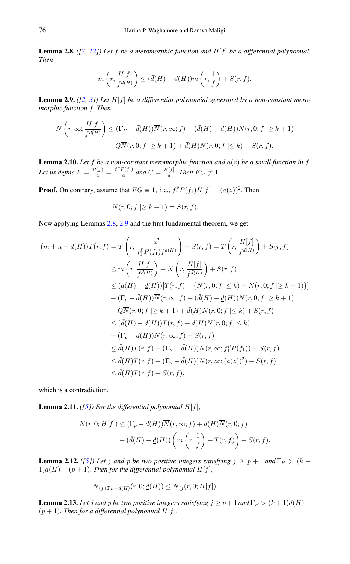<span id="page-7-0"></span>**Lemma 2.8.** *(* $[7, 12]$  $[7, 12]$  $[7, 12]$ *)* Let  $f$  *be a meromorphic function and*  $H[f]$  *be a differential polynomial. Then*

$$
m\left(r, \frac{H[f]}{f^{\bar{d}(H)}}\right) \leq (\bar{d}(H) - \underline{d}(H))m\left(r, \frac{1}{f}\right) + S(r, f).
$$

<span id="page-7-1"></span>**Lemma 2.9.**  $([2, 3])$  $([2, 3])$  $([2, 3])$  $([2, 3])$  $([2, 3])$  Let  $H[f]$  be a differential polynomial generated by a non-constant mero*morphic function* f. *Then*

$$
N\left(r,\infty;\frac{H[f]}{f^{\bar{d}(H)}}\right) \leq (\Gamma_P - \bar{d}(H))\overline{N}(r,\infty;f) + (\bar{d}(H) - \underline{d}(H))N(r,0;f \geq k+1) + Q\overline{N}(r,0;f \geq k+1) + \bar{d}(H)N(r,0;f \leq k) + S(r,f).
$$

<span id="page-7-5"></span>**Lemma 2.10.** Let f be a non-constant meromorphic function and  $a(z)$  be a small function in f. Let us define  $F = \frac{\mathcal{P}(f)}{a} = \frac{f_1^p P(f_1)}{a}$  and  $G = \frac{H[f]}{a}$  $\frac{f[J]}{a}$ . *Then*  $FG \not\equiv 1$ .

**Proof.** On contrary, assume that  $FG \equiv 1$ , i.e.,  $f_1^p P(f_1)H[f] = (a(z))^2$ . Then

$$
N(r,0; f \mid \geq k+1) = S(r,f).
$$

Now applying Lemmas [2.8,](#page-7-0) [2.9](#page-7-1) and the first fundamental theorem, we get

$$
(m+n+\bar{d}(H))T(r,f) = T\left(r, \frac{a^2}{f_1^p P(f_1)f^{\bar{d}(H)}}\right) + S(r,f) = T\left(r, \frac{H[f]}{f^{\bar{d}(H)}}\right) + S(r,f)
$$
  
\n
$$
\leq m\left(r, \frac{H[f]}{f^{\bar{d}(H)}}\right) + N\left(r, \frac{H[f]}{f^{\bar{d}(H)}}\right) + S(r,f)
$$
  
\n
$$
\leq (\bar{d}(H) - \underline{d}(H))[T(r,f) - \{N(r,0;f \leq k) + N(r,0;f \geq k+1)\}]
$$
  
\n
$$
+ (\Gamma_p - \bar{d}(H))\overline{N}(r,\infty;f) + (\bar{d}(H) - \underline{d}(H))N(r,0;f \geq k+1)
$$
  
\n
$$
+ Q\overline{N}(r,0;f \geq k+1) + \bar{d}(H)N(r,0;f \leq k) + S(r,f)
$$
  
\n
$$
\leq (\bar{d}(H) - \underline{d}(H))T(r,f) + \underline{d}(H)N(r,0;f \leq k)
$$
  
\n
$$
+ (\Gamma_p - \bar{d}(H))\overline{N}(r,\infty;f) + S(r,f)
$$
  
\n
$$
\leq \bar{d}(H)T(r,f) + (\Gamma_p - \bar{d}(H))\overline{N}(r,\infty; f_1^p P(f_1)) + S(r,f)
$$
  
\n
$$
\leq \bar{d}(H)T(r,f) + (\Gamma_p - \bar{d}(H))\overline{N}(r,\infty; (a(z))^2) + S(r,f)
$$
  
\n
$$
\leq \bar{d}(H)T(r,f) + S(r,f),
$$

which is a contradiction.

<span id="page-7-2"></span>**Lemma 2.11.** *(* $[5]$ *)* For the differential polynomial  $H[f]$ *,* 

$$
N(r, 0; H[f]) \leq (\Gamma_p - \bar{d}(H))\overline{N}(r, \infty; f) + \underline{d}(H)\overline{N}(r, 0; f)
$$

$$
+ (\bar{d}(H) - \underline{d}(H))\left(m\left(r, \frac{1}{f}\right) + T(r, f)\right) + S(r, f).
$$

<span id="page-7-3"></span>**Lemma 2.12.** *([\[5\]](#page-10-1))* Let *j* and *p* be two positive integers satisfying  $j \ge p + 1$  and  $\Gamma_P > (k + 1)$  $1)$  $\underline{d}(H) - (p + 1)$ . *Then for the differential polynomial*  $H[f]$ ,

$$
\overline{N}_{(j+\Gamma_P - \underline{d}(H)}(r,0;\underline{d}(H)) \leq \overline{N}_{(j}(r,0;H[f]).
$$

<span id="page-7-4"></span>**Lemma 2.13.** Let j and p be two positive integers satisfying  $j \ge p + 1$  and  $\Gamma_P > (k+1)d(H) (p+1)$ . *Then for a differential polynomial*  $H[f]$ ,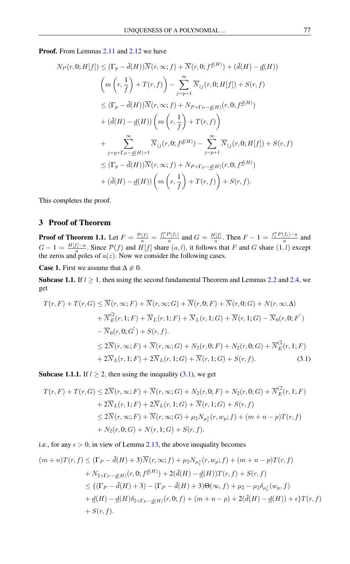#### Proof. From Lemmas [2.11](#page-7-2) and [2.12](#page-7-3) we have

$$
N_P(r, 0; H[f]) \leq (\Gamma_p - \bar{d}(H))\overline{N}(r, \infty; f) + \overline{N}(r, 0; f^{\underline{d}(H)}) + (\bar{d}(H) - \underline{d}(H))
$$
  

$$
\left( m\left(r, \frac{1}{f}\right) + T(r, f)\right) - \sum_{j=p+1}^{\infty} \overline{N}_{(j}(r, 0; H[f]) + S(r, f)
$$
  

$$
\leq (\Gamma_p - \bar{d}(H))\overline{N}(r, \infty; f) + N_{P+\Gamma_P - \underline{d}(H)}(r, 0; f^{\underline{d}(H)})
$$
  

$$
+ (\bar{d}(H) - \underline{d}(H))\left(m\left(r, \frac{1}{f}\right) + T(r, f)\right)
$$
  

$$
+ \sum_{j=p+\Gamma_P - \underline{d}(H)+1}^{\infty} \overline{N}_{(j}(r, 0; f^{\underline{d}(H)}) - \sum_{j=p+1}^{\infty} \overline{N}_{(j}(r, 0; H[f]) + S(r, f)
$$
  

$$
\leq (\Gamma_p - \bar{d}(H))\overline{N}(r, \infty; f) + N_{P+\Gamma_P - \underline{d}(H)}(r, 0; f^{\underline{d}(H)})
$$
  

$$
+ (\bar{d}(H) - \underline{d}(H))\left(m\left(r, \frac{1}{f}\right) + T(r, f)\right) + S(r, f).
$$

This completes the proof.

## 3 Proof of Theorem

**Proof of Theorem 1.1.** Let  $F = \frac{\mathcal{P}(f)}{a} = \frac{f_1^p P(f_1)}{a}$  and  $G = \frac{H[f]}{a}$  $\frac{f[f]}{a}$ . Then  $F - 1 = \frac{f_1^p P(f_1) - a}{a}$  and  $G-1 = \frac{H[f]-a}{a}$  $\frac{H^{1-a}}{a}$ . Since  $\mathcal{P}(f)$  and  $H[f]$  share  $(a, l)$ , it follows that F and G share  $(1, l)$  except the zeros and poles of  $a(z)$ . Now we consider the following cases.

**Case 1.** First we assume that  $\Delta \neq 0$ .

Subcase 1.1. If  $l \geq 1$ , then using the second fundamental Theorem and Lemmas [2.2](#page-6-1) and [2.4,](#page-6-2) we get

$$
T(r, F) + T(r, G) \leq \overline{N}(r, \infty; F) + \overline{N}(r, \infty; G) + \overline{N}(r, 0; F) + \overline{N}(r, 0; G) + N(r, \infty; \Delta)
$$
  
+ 
$$
\overline{N}_{E}^{2}(r, 1; F) + \overline{N}_{L}(r, 1; F) + \overline{N}_{L}(r, 1; G) + \overline{N}(r, 1; G) - \overline{N}_{0}(r, 0; F')
$$
  
- 
$$
\overline{N}_{0}(r, 0; G') + S(r, f).
$$
  

$$
\leq 2\overline{N}(r, \infty; F) + \overline{N}(r, \infty; G) + N_{2}(r, 0; F) + N_{2}(r, 0; G) + \overline{N}_{E}^{2}(r, 1; F)
$$
  
+ 
$$
2\overline{N}_{L}(r, 1; F) + 2\overline{N}_{L}(r, 1; G) + \overline{N}(r, 1; G) + S(r, f).
$$
 (3.1)

**Subcase 1.1.1.** If  $l \geq 2$ , then using the inequality [\(3.1\)](#page-8-0), we get

<span id="page-8-0"></span>
$$
T(r, F) + T(r, G) \le 2\overline{N}(r, \infty; F) + \overline{N}(r, \infty; G) + N_2(r, 0; F) + N_2(r, 0; G) + \overline{N}_E^2(r, 1; F)
$$
  
+ 2\overline{N}\_L(r, 1; F) + 2\overline{N}\_L(r, 1; G) + \overline{N}(r, 1; G) + S(r, f)  

$$
\le 2\overline{N}(r, \infty; F) + \overline{N}(r, \infty; G) + \mu_2 N_{\mu_2^*}(r, w_p; f) + (m + n - p)T(r, f)
$$
  
+ N\_2(r, 0; G) + N(r, 1; G) + S(r, f).

i.e., for any  $\epsilon > 0$ , in view of Lemma [2.13,](#page-7-4) the above inequality becomes

$$
(m+n)T(r, f) \leq (\Gamma_P - \bar{d}(H) + 3)\overline{N}(r, \infty; f) + \mu_2 N_{\mu_2^*}(r, w_p; f) + (m+n-p)T(r, f)
$$
  
+  $N_{2+\Gamma_P - \underline{d}(H)}(r, 0; f^{\underline{d}(H)}) + 2(\bar{d}(H) - \underline{d}(H))T(r, f) + S(r, f)$   
 $\leq \{(\Gamma_P - \bar{d}(H) + 3) - (\Gamma_P - \bar{d}(H) + 3)\Theta(\infty, f) + \mu_2 - \mu_2 \delta_{\mu_2^*}(w_p, f)$   
+  $\underline{d}(H) - \underline{d}(H)\delta_{2+\Gamma_P - \underline{d}(H)}(r, 0; f) + (m+n-p) + 2(\bar{d}(H) - \underline{d}(H)) + \epsilon\}T(r, f)$   
+  $S(r, f).$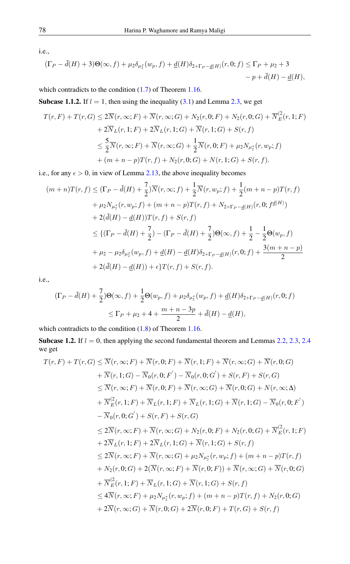i.e.,

$$
(\Gamma_P - \bar{d}(H) + 3)\Theta(\infty, f) + \mu_2 \delta_{\mu_2^*}(w_p, f) + \underline{d}(H)\delta_{2+\Gamma_P - \underline{d}(H)}(r, 0; f) \le \Gamma_P + \mu_2 + 3 - p + \bar{d}(H) - \underline{d}(H),
$$

which contradicts to the condition  $(1.7)$  of Theorem [1.16.](#page-4-2)

Subcase 1.1.2. If  $l = 1$ , then using the inequality [\(3.1\)](#page-8-0) and Lemma [2.3,](#page-6-3) we get

$$
T(r, F) + T(r, G) \le 2\overline{N}(r, \infty; F) + \overline{N}(r, \infty; G) + N_2(r, 0; F) + N_2(r, 0; G) + \overline{N}_E^2(r, 1; F) + 2\overline{N}_L(r, 1; F) + 2\overline{N}_L(r, 1; G) + \overline{N}(r, 1; G) + S(r, f) \n\le \frac{5}{2}\overline{N}(r, \infty; F) + \overline{N}(r, \infty; G) + \frac{1}{2}\overline{N}(r, 0; F) + \mu_2 N_{\mu_2^*}(r, w_p; f) + (m + n - p)T(r, f) + N_2(r, 0; G) + N(r, 1; G) + S(r, f).
$$

i.e., for any  $\epsilon > 0$ , in view of Lemma [2.13,](#page-7-4) the above inequality becomes

$$
(m+n)T(r, f) \leq (\Gamma_P - \bar{d}(H) + \frac{7}{2})\overline{N}(r, \infty; f) + \frac{1}{2}\overline{N}(r, w_p; f) + \frac{1}{2}(m+n-p)T(r, f)
$$
  
+  $\mu_2 N_{\mu_2^*}(r, w_p; f) + (m+n-p)T(r, f) + N_{2+\Gamma_P - \underline{d}(H)}(r, 0; f^{\underline{d}(H)})$   
+  $2(\bar{d}(H) - \underline{d}(H))T(r, f) + S(r, f)$   
 $\leq \{(\Gamma_P - \bar{d}(H) + \frac{7}{2}) - (\Gamma_P - \bar{d}(H) + \frac{7}{2})\Theta(\infty, f) + \frac{1}{2} - \frac{1}{2}\Theta(w_p, f)$   
+  $\mu_2 - \mu_2 \delta_{\mu_2^*}(w_p, f) + \underline{d}(H) - \underline{d}(H)\delta_{2+\Gamma_P - \underline{d}(H)}(r, 0; f) + \frac{3(m+n-p)}{2}$   
+  $2(\bar{d}(H) - \underline{d}(H)) + \epsilon\}T(r, f) + S(r, f).$ 

i.e.,

$$
\begin{aligned} (\Gamma_P - \bar{d}(H) + \frac{7}{2}) \Theta(\infty, f) + \frac{1}{2} \Theta(w_P, f) + \mu_2 \delta_{\mu_2^*}(w_P, f) + \underline{d}(H) \delta_{2 + \Gamma_P - \underline{d}(H)}(r, 0; f) \\ &\leq \Gamma_P + \mu_2 + 4 + \frac{m + n - 3p}{2} + \bar{d}(H) - \underline{d}(H), \end{aligned}
$$

which contradicts to the condition  $(1.8)$  of Theorem [1.16.](#page-4-2)

Subcase 1.2. If  $l = 0$ , then applying the second fundamental theorem and Lemmas [2.2,](#page-6-1) [2.3,](#page-6-3) [2.4](#page-6-2) we get

$$
T(r, F) + T(r, G) \leq \overline{N}(r, \infty; F) + \overline{N}(r, 0; F) + \overline{N}(r, 1; F) + \overline{N}(r, \infty; G) + \overline{N}(r, 0; G)
$$
  
+  $\overline{N}(r, 1; G) - \overline{N}_0(r, 0; F') - \overline{N}_0(r, 0; G') + S(r, F) + S(r, G)$   
 $\leq \overline{N}(r, \infty; F) + \overline{N}(r, 0; F) + \overline{N}(r, \infty; G) + \overline{N}(r, 0; G) + N(r, \infty; \Delta)$   
+  $\overline{N}_E^2(r, 1; F) + \overline{N}_L(r, 1; F) + \overline{N}_L(r, 1; G) + \overline{N}(r, 1; G) - \overline{N}_0(r, 0; F')$   
-  $\overline{N}_0(r, 0; G') + S(r, F) + S(r, G)$   
 $\leq 2\overline{N}(r, \infty; F) + \overline{N}(r, \infty; G) + N_2(r, 0; F) + N_2(r, 0; G) + \overline{N}_E^2(r, 1; F)$   
+  $2\overline{N}_L(r, 1; F) + 2\overline{N}_L(r, 1; G) + \overline{N}(r, 1; G) + S(r, f)$   
 $\leq 2\overline{N}(r, \infty; F) + \overline{N}(r, \infty; G) + \mu_2 N_{\mu_2^*}(r, w_p; f) + (m + n - p)T(r, f)$   
+  $N_2(r, 0; G) + 2(\overline{N}(r, \infty; F) + \overline{N}(r, 0; F)) + \overline{N}(r, \infty; G) + \overline{N}(r, 0; G)$   
+  $\overline{N}_E^2(r, 1; F) + \overline{N}_L(r, 1; G) + \overline{N}(r, 1; G) + S(r, f)$   
 $\leq 4\overline{N}(r, \infty; F) + \mu_2 N_{\mu_2^*}(r, w_p; f) + (m + n - p)T(r, f) + N_2(r, 0; G)$   
+  $2\overline{$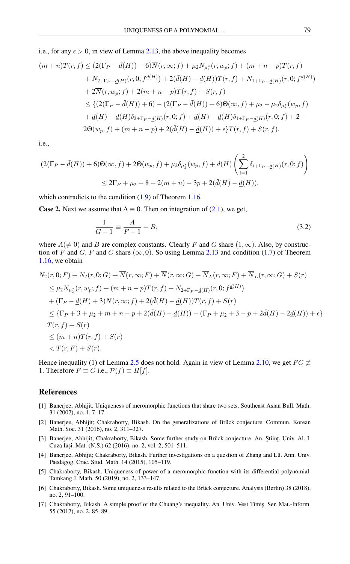i.e., for any  $\epsilon > 0$ , in view of Lemma [2.13,](#page-7-4) the above inequality becomes

$$
(m+n)T(r, f) \le (2(\Gamma_P - \bar{d}(H)) + 6)\overline{N}(r, \infty; f) + \mu_2 N_{\mu_2^*}(r, w_p; f) + (m+n-p)T(r, f)
$$
  
+  $N_{2+\Gamma_P - \underline{d}(H)}(r, 0; f^{\underline{d}(H)}) + 2(\bar{d}(H) - \underline{d}(H))T(r, f) + N_{1+\Gamma_P - \underline{d}(H)}(r, 0; f^{\underline{d}(H)})$   
+  $2\overline{N}(r, w_p; f) + 2(m+n-p)T(r, f) + S(r, f)$   
 $\le \{ (2(\Gamma_P - \bar{d}(H)) + 6) - (2(\Gamma_P - \bar{d}(H)) + 6)\Theta(\infty, f) + \mu_2 - \mu_2 \delta_{\mu_2^*}(w_p, f)$   
+  $\underline{d}(H) - \underline{d}(H)\delta_{2+\Gamma_P - \underline{d}(H)}(r, 0; f) + \underline{d}(H) - \underline{d}(H)\delta_{1+\Gamma_P - \underline{d}(H)}(r, 0; f) + 2 -$   
 $2\Theta(w_p, f) + (m+n-p) + 2(\bar{d}(H) - \underline{d}(H)) + \epsilon\}T(r, f) + S(r, f).$ 

i.e.,

$$
(2(\Gamma_P - \bar{d}(H)) + 6)\Theta(\infty, f) + 2\Theta(w_P, f) + \mu_2 \delta_{\mu_2^*}(w_P, f) + \underline{d}(H) \left(\sum_{i=1}^2 \delta_{i+\Gamma_P - \underline{d}(H)}(r, 0; f)\right)
$$
  

$$
\leq 2\Gamma_P + \mu_2 + 8 + 2(m+n) - 3p + 2(\bar{d}(H) - \underline{d}(H)),
$$

which contradicts to the condition  $(1.9)$  of Theorem [1.16.](#page-4-2)

**Case 2.** Next we assume that  $\Delta \equiv 0$ . Then on integration of [\(2.1\)](#page-5-1), we get,

$$
\frac{1}{G-1} \equiv \frac{A}{F-1} + B,\tag{3.2}
$$

where  $A(\neq 0)$  and B are complex constants. Clearly F and G share  $(1, \infty)$ . Also, by construction of F and G, F and G share  $(\infty, 0)$ . So using Lemma [2.13](#page-7-4) and condition [\(1.7\)](#page-4-0) of Theorem [1.16,](#page-4-2) we obtain

$$
N_2(r, 0; F) + N_2(r, 0; G) + \overline{N}(r, \infty; F) + \overline{N}(r, \infty; G) + \overline{N}_L(r, \infty; F) + \overline{N}_L(r, \infty; G) + S(r)
$$
  
\n
$$
\leq \mu_2 N_{\mu_2^*}(r, w_p; f) + (m + n - p)T(r, f) + N_{2+\Gamma_P - d(H)}(r, 0; f^{d(H)})
$$
  
\n
$$
+ (\Gamma_P - \underline{d}(H) + 3)\overline{N}(r, \infty; f) + 2(\overline{d}(H) - \underline{d}(H))T(r, f) + S(r)
$$
  
\n
$$
\leq {\Gamma_P + 3 + \mu_2 + m + n - p + 2(\overline{d}(H) - \underline{d}(H)) - (\Gamma_P + \mu_2 + 3 - p + 2\overline{d}(H) - 2\underline{d}(H)) + \epsilon}
$$
  
\n
$$
T(r, f) + S(r)
$$
  
\n
$$
\leq (m + n)T(r, f) + S(r)
$$
  
\n
$$
< T(r, F) + S(r).
$$

Hence inequality (1) of Lemma [2.5](#page-6-4) does not hold. Again in view of Lemma [2.10,](#page-7-5) we get  $FG \neq$ 1. Therefore  $F \equiv G$  i.e.,  $\mathcal{P}(f) \equiv H[f]$ .

### <span id="page-10-0"></span>References

- [1] Banerjee, Abhijit. Uniqueness of meromorphic functions that share two sets. Southeast Asian Bull. Math. 31 (2007), no. 1, 7–17.
- <span id="page-10-3"></span>[2] Banerjee, Abhijit; Chakraborty, Bikash. On the generalizations of Brück conjecture. Commun. Korean Math. Soc. 31 (2016), no. 2, 311–327.
- <span id="page-10-4"></span>[3] Banerjee, Abhijit; Chakraborty, Bikash. Some further study on Brück conjecture. An. Ştiinţ. Univ. Al. I. Cuza Iaşi. Mat. (N.S.) 62 (2016), no. 2, vol. 2, 501-511.
- <span id="page-10-2"></span>[4] Banerjee, Abhijit; Chakraborty, Bikash. Further investigations on a question of Zhang and Lü. Ann. Univ. Paedagog. Crac. Stud. Math. 14 (2015), 105–119.
- <span id="page-10-1"></span>[5] Chakraborty, Bikash. Uniqueness of power of a meromorphic function with its differential polynomial. Tamkang J. Math. 50 (2019), no. 2, 133–147.
- <span id="page-10-5"></span>[6] Chakraborty, Bikash. Some uniqueness results related to the Brück conjecture. Analysis (Berlin) 38 (2018), no. 2, 91–100.
- <span id="page-10-6"></span>[7] Chakraborty, Bikash. A simple proof of the Chuang's inequality. An. Univ. Vest Timiş. Ser. Mat.-Inform. 55 (2017), no. 2, 85–89.